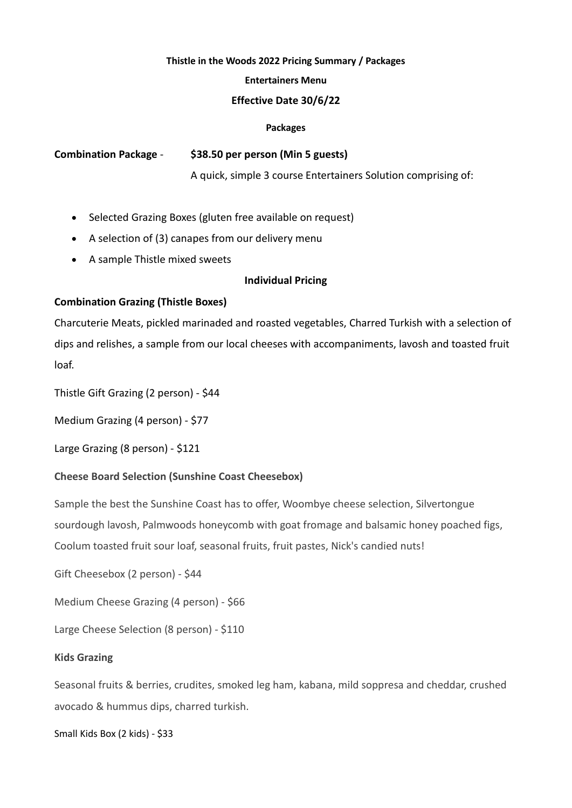## **Thistle in the Woods 2022 Pricing Summary / Packages**

## **Entertainers Menu**

## **Effective Date 30/6/22**

#### **Packages**

**Combination Package** - **\$38.50 per person (Min 5 guests)**

A quick, simple 3 course Entertainers Solution comprising of:

- Selected Grazing Boxes (gluten free available on request)
- A selection of (3) canapes from our delivery menu
- A sample Thistle mixed sweets

# **Individual Pricing**

# **Combination Grazing (Thistle Boxes)**

Charcuterie Meats, pickled marinaded and roasted vegetables, Charred Turkish with a selection of dips and relishes, a sample from our local cheeses with accompaniments, lavosh and toasted fruit loaf.

Thistle Gift Grazing (2 person) - \$44

Medium Grazing (4 person) - \$77

Large Grazing (8 person) - \$121

# **Cheese Board Selection (Sunshine Coast Cheesebox)**

Sample the best the Sunshine Coast has to offer, Woombye cheese selection, Silvertongue sourdough lavosh, Palmwoods honeycomb with goat fromage and balsamic honey poached figs, Coolum toasted fruit sour loaf, seasonal fruits, fruit pastes, Nick's candied nuts!

Gift Cheesebox (2 person) - \$44

Medium Cheese Grazing (4 person) - \$66

Large Cheese Selection (8 person) - \$110

## **Kids Grazing**

Seasonal fruits & berries, crudites, smoked leg ham, kabana, mild soppresa and cheddar, crushed avocado & hummus dips, charred turkish.

Small Kids Box (2 kids) - \$33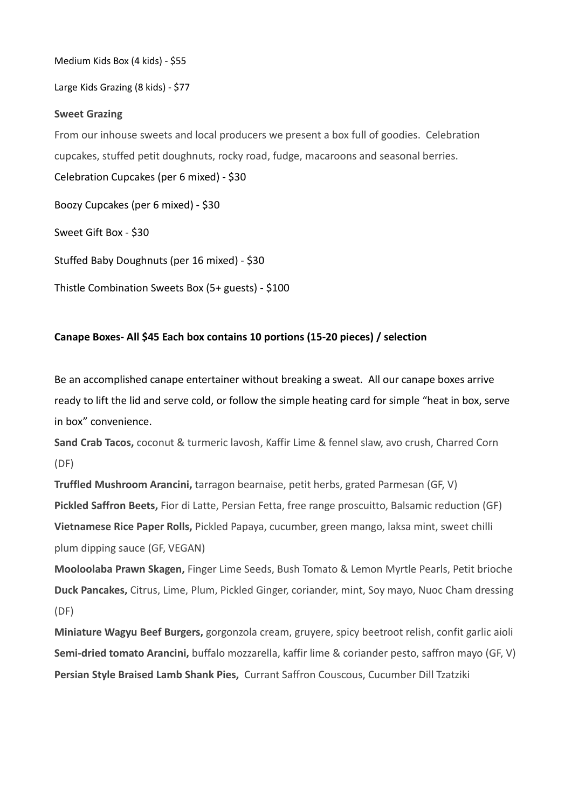Medium Kids Box (4 kids) - \$55

Large Kids Grazing (8 kids) - \$77

## **Sweet Grazing**

From our inhouse sweets and local producers we present a box full of goodies. Celebration cupcakes, stuffed petit doughnuts, rocky road, fudge, macaroons and seasonal berries. Celebration Cupcakes (per 6 mixed) - \$30

Boozy Cupcakes (per 6 mixed) - \$30

Sweet Gift Box - \$30

Stuffed Baby Doughnuts (per 16 mixed) - \$30

Thistle Combination Sweets Box (5+ guests) - \$100

# **Canape Boxes- All \$45 Each box contains 10 portions (15-20 pieces) / selection**

Be an accomplished canape entertainer without breaking a sweat. All our canape boxes arrive ready to lift the lid and serve cold, or follow the simple heating card for simple "heat in box, serve in box" convenience.

**Sand Crab Tacos,** coconut & turmeric lavosh, Kaffir Lime & fennel slaw, avo crush, Charred Corn (DF)

**Truffled Mushroom Arancini,** tarragon bearnaise, petit herbs, grated Parmesan (GF, V) **Pickled Saffron Beets,** Fior di Latte, Persian Fetta, free range proscuitto, Balsamic reduction (GF) **Vietnamese Rice Paper Rolls,** Pickled Papaya, cucumber, green mango, laksa mint, sweet chilli plum dipping sauce (GF, VEGAN)

**Mooloolaba Prawn Skagen,** Finger Lime Seeds, Bush Tomato & Lemon Myrtle Pearls, Petit brioche **Duck Pancakes,** Citrus, Lime, Plum, Pickled Ginger, coriander, mint, Soy mayo, Nuoc Cham dressing (DF)

**Miniature Wagyu Beef Burgers,** gorgonzola cream, gruyere, spicy beetroot relish, confit garlic aioli **Semi-dried tomato Arancini,** buffalo mozzarella, kaffir lime & coriander pesto, saffron mayo (GF, V) **Persian Style Braised Lamb Shank Pies,** Currant Saffron Couscous, Cucumber Dill Tzatziki